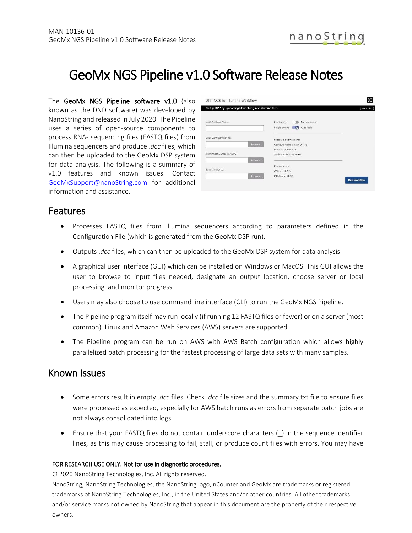

## GeoMx NGS Pipeline v1.0 Software Release Notes

The GeoMx NGS Pipeline software v1.0 (also known as the DND software) was developed by NanoString and released in July 2020. The Pipeline uses a series of open-source components to process RNA- sequencing files (FASTQ files) from Illumina sequencers and produce .*dcc* files, which can then be uploaded to the GeoMx DSP system for data analysis. The following is a summary of v1.0 features and known issues. Contact [GeoMxSupport@nanoString.com](mailto:GeoMxSupport@nanoString.com) for additional information and assistance.

| Setup DPP by uploading Nanostring And illumina files |                                                                            | [connected]         |
|------------------------------------------------------|----------------------------------------------------------------------------|---------------------|
| DnD Analysis Name:                                   | Run locally<br>Run on server<br>Single thread<br>Autoscale<br>$\mathbf{m}$ |                     |
| DnD Configuration file<br>browse                     | System Specifications:<br>Computer name: NANO-1176                         |                     |
| Illumina Raw Data (FASTO)<br>browse                  | Number of cores: 8<br>Available RAM: 13 9 GB                               |                     |
| Save Output to:                                      | Run estimate:<br>CPU used: 0 %                                             |                     |
| browse                                               | RAM used: 0 GB                                                             | <b>Run Workflow</b> |

## Features

- Processes FASTQ files from Illumina sequencers according to parameters defined in the Configuration File (which is generated from the GeoMx DSP run).
- Outputs .*dcc* files, which can then be uploaded to the GeoMx DSP system for data analysis.
- A graphical user interface (GUI) which can be installed on Windows or MacOS. This GUI allows the user to browse to input files needed, designate an output location, choose server or local processing, and monitor progress.
- Users may also choose to use command line interface (CLI) to run the GeoMx NGS Pipeline.
- The Pipeline program itself may run locally (if running 12 FASTQ files or fewer) or on a server (most common). Linux and Amazon Web Services (AWS) servers are supported.
- The Pipeline program can be run on AWS with AWS Batch configuration which allows highly parallelized batch processing for the fastest processing of large data sets with many samples.

## Known Issues

- Some errors result in empty .*dcc* files. Check .*dcc* file sizes and the summary.txt file to ensure files were processed as expected, especially for AWS batch runs as errors from separate batch jobs are not always consolidated into logs.
- Ensure that your FASTQ files do not contain underscore characters (\_) in the sequence identifier lines, as this may cause processing to fail, stall, or produce count files with errors. You may have

## FOR RESEARCH USE ONLY. Not for use in diagnostic procedures.

© 2020 NanoString Technologies, Inc. All rights reserved.

NanoString, NanoString Technologies, the NanoString logo, nCounter and GeoMx are trademarks or registered trademarks of NanoString Technologies, Inc., in the United States and/or other countries. All other trademarks and/or service marks not owned by NanoString that appear in this document are the property of their respective owners.